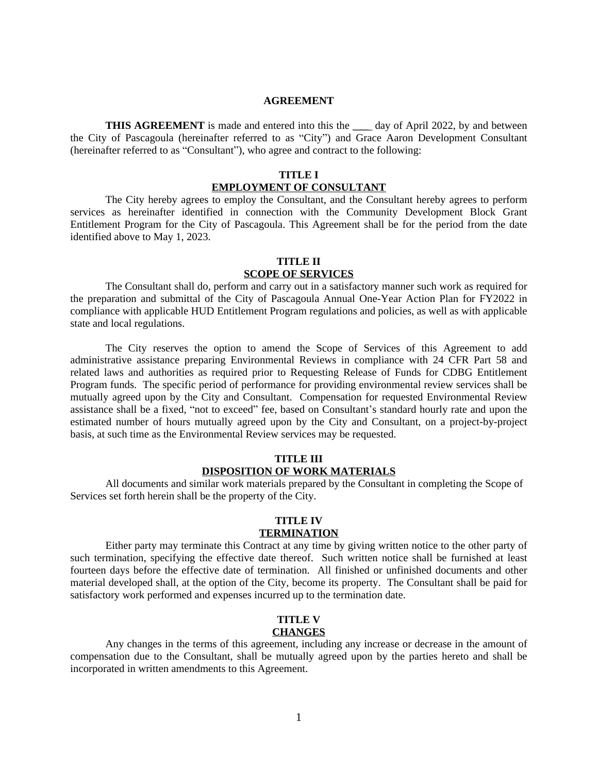#### **AGREEMENT**

**THIS AGREEMENT** is made and entered into this the \_\_\_ day of April 2022, by and between the City of Pascagoula (hereinafter referred to as "City") and Grace Aaron Development Consultant (hereinafter referred to as "Consultant"), who agree and contract to the following:

# **TITLE I EMPLOYMENT OF CONSULTANT**

The City hereby agrees to employ the Consultant, and the Consultant hereby agrees to perform services as hereinafter identified in connection with the Community Development Block Grant Entitlement Program for the City of Pascagoula. This Agreement shall be for the period from the date identified above to May 1, 2023.

#### **TITLE II SCOPE OF SERVICES**

The Consultant shall do, perform and carry out in a satisfactory manner such work as required for the preparation and submittal of the City of Pascagoula Annual One-Year Action Plan for FY2022 in compliance with applicable HUD Entitlement Program regulations and policies, as well as with applicable state and local regulations.

The City reserves the option to amend the Scope of Services of this Agreement to add administrative assistance preparing Environmental Reviews in compliance with 24 CFR Part 58 and related laws and authorities as required prior to Requesting Release of Funds for CDBG Entitlement Program funds. The specific period of performance for providing environmental review services shall be mutually agreed upon by the City and Consultant. Compensation for requested Environmental Review assistance shall be a fixed, "not to exceed" fee, based on Consultant's standard hourly rate and upon the estimated number of hours mutually agreed upon by the City and Consultant, on a project-by-project basis, at such time as the Environmental Review services may be requested.

## **TITLE III DISPOSITION OF WORK MATERIALS**

All documents and similar work materials prepared by the Consultant in completing the Scope of Services set forth herein shall be the property of the City.

# **TITLE IV TERMINATION**

Either party may terminate this Contract at any time by giving written notice to the other party of such termination, specifying the effective date thereof. Such written notice shall be furnished at least fourteen days before the effective date of termination. All finished or unfinished documents and other material developed shall, at the option of the City, become its property. The Consultant shall be paid for satisfactory work performed and expenses incurred up to the termination date.

# **TITLE V CHANGES**

Any changes in the terms of this agreement, including any increase or decrease in the amount of compensation due to the Consultant, shall be mutually agreed upon by the parties hereto and shall be incorporated in written amendments to this Agreement.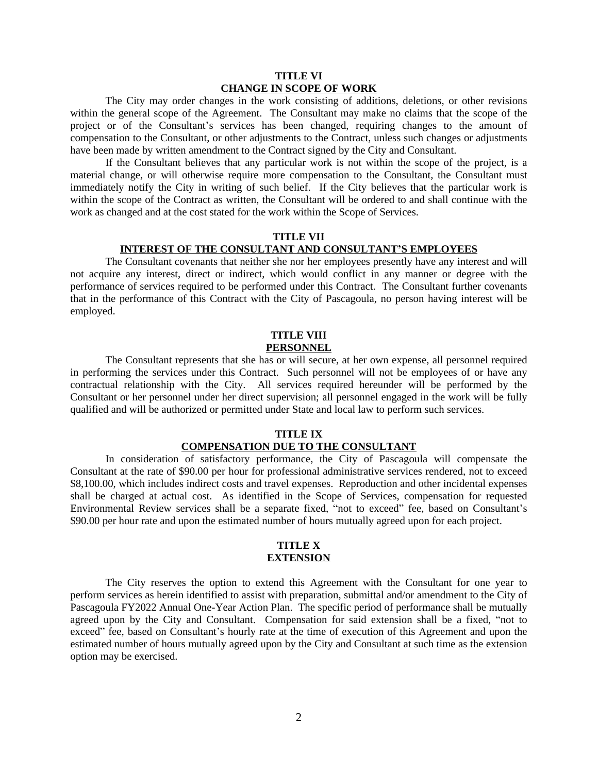#### **TITLE VI CHANGE IN SCOPE OF WORK**

The City may order changes in the work consisting of additions, deletions, or other revisions within the general scope of the Agreement. The Consultant may make no claims that the scope of the project or of the Consultant's services has been changed, requiring changes to the amount of compensation to the Consultant, or other adjustments to the Contract, unless such changes or adjustments have been made by written amendment to the Contract signed by the City and Consultant.

If the Consultant believes that any particular work is not within the scope of the project, is a material change, or will otherwise require more compensation to the Consultant, the Consultant must immediately notify the City in writing of such belief. If the City believes that the particular work is within the scope of the Contract as written, the Consultant will be ordered to and shall continue with the work as changed and at the cost stated for the work within the Scope of Services.

# **TITLE VII**

### **INTEREST OF THE CONSULTANT AND CONSULTANT'S EMPLOYEES**

The Consultant covenants that neither she nor her employees presently have any interest and will not acquire any interest, direct or indirect, which would conflict in any manner or degree with the performance of services required to be performed under this Contract. The Consultant further covenants that in the performance of this Contract with the City of Pascagoula, no person having interest will be employed.

#### **TITLE VIII PERSONNEL**

The Consultant represents that she has or will secure, at her own expense, all personnel required in performing the services under this Contract. Such personnel will not be employees of or have any contractual relationship with the City. All services required hereunder will be performed by the Consultant or her personnel under her direct supervision; all personnel engaged in the work will be fully qualified and will be authorized or permitted under State and local law to perform such services.

# **TITLE IX COMPENSATION DUE TO THE CONSULTANT**

In consideration of satisfactory performance, the City of Pascagoula will compensate the Consultant at the rate of \$90.00 per hour for professional administrative services rendered, not to exceed \$8,100.00, which includes indirect costs and travel expenses. Reproduction and other incidental expenses shall be charged at actual cost. As identified in the Scope of Services, compensation for requested Environmental Review services shall be a separate fixed, "not to exceed" fee, based on Consultant's \$90.00 per hour rate and upon the estimated number of hours mutually agreed upon for each project.

## **TITLE X EXTENSION**

The City reserves the option to extend this Agreement with the Consultant for one year to perform services as herein identified to assist with preparation, submittal and/or amendment to the City of Pascagoula FY2022 Annual One-Year Action Plan. The specific period of performance shall be mutually agreed upon by the City and Consultant. Compensation for said extension shall be a fixed, "not to exceed" fee, based on Consultant's hourly rate at the time of execution of this Agreement and upon the estimated number of hours mutually agreed upon by the City and Consultant at such time as the extension option may be exercised.